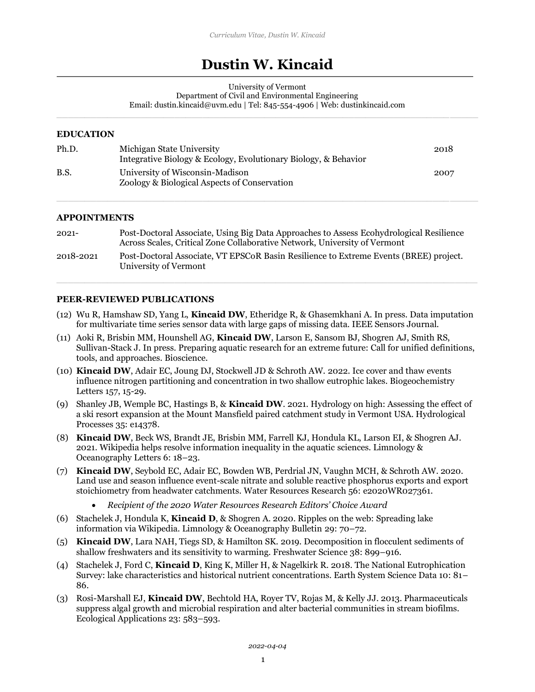# **Dustin W. Kincaid**

University of Vermont

Department of Civil and Environmental Engineering

Email: dustin.kincaid@uvm.edu | Tel: 845-554-4906 | Web: dustinkincaid.com

#### **EDUCATION**

| Ph.D.       | Michigan State University<br>Integrative Biology & Ecology, Evolutionary Biology, & Behavior | 2018 |
|-------------|----------------------------------------------------------------------------------------------|------|
| <b>B.S.</b> | University of Wisconsin-Madison<br>Zoology & Biological Aspects of Conservation              | 2007 |

#### **APPOINTMENTS**

| $2021 -$  | Post-Doctoral Associate, Using Big Data Approaches to Assess Ecohydrological Resilience<br>Across Scales, Critical Zone Collaborative Network, University of Vermont |
|-----------|----------------------------------------------------------------------------------------------------------------------------------------------------------------------|
| 2018-2021 | Post-Doctoral Associate, VT EPSCoR Basin Resilience to Extreme Events (BREE) project.<br>University of Vermont                                                       |

## **PEER-REVIEWED PUBLICATIONS**

- (12) Wu R, Hamshaw SD, Yang L, **Kincaid DW**, Etheridge R, & Ghasemkhani A. In press. Data imputation for multivariate time series sensor data with large gaps of missing data. IEEE Sensors Journal.
- (11) Aoki R, Brisbin MM, Hounshell AG, **Kincaid DW**, Larson E, Sansom BJ, Shogren AJ, Smith RS, Sullivan-Stack J. In press. Preparing aquatic research for an extreme future: Call for unified definitions, tools, and approaches. Bioscience.
- (10) **Kincaid DW**, Adair EC, Joung DJ, Stockwell JD & Schroth AW. 2022. Ice cover and thaw events influence nitrogen partitioning and concentration in two shallow eutrophic lakes. Biogeochemistry Letters 157, 15-29.
- (9) Shanley JB, Wemple BC, Hastings B, & **Kincaid DW**. 2021. Hydrology on high: Assessing the effect of a ski resort expansion at the Mount Mansfield paired catchment study in Vermont USA. Hydrological Processes 35: e14378.
- (8) **Kincaid DW**, Beck WS, Brandt JE, Brisbin MM, Farrell KJ, Hondula KL, Larson EI, & Shogren AJ. 2021. Wikipedia helps resolve information inequality in the aquatic sciences. Limnology & Oceanography Letters 6: 18–23.
- (7) **Kincaid DW**, Seybold EC, Adair EC, Bowden WB, Perdrial JN, Vaughn MCH, & Schroth AW. 2020. Land use and season influence event-scale nitrate and soluble reactive phosphorus exports and export stoichiometry from headwater catchments. Water Resources Research 56: e2020WR027361.
	- *Recipient of the 2020 Water Resources Research Editors' Choice Award*
- (6) Stachelek J, Hondula K, **Kincaid D**, & Shogren A. 2020. Ripples on the web: Spreading lake information via Wikipedia. Limnology & Oceanography Bulletin 29: 70–72.
- (5) **Kincaid DW**, Lara NAH, Tiegs SD, & Hamilton SK. 2019. Decomposition in flocculent sediments of shallow freshwaters and its sensitivity to warming. Freshwater Science 38: 899–916.
- (4) Stachelek J, Ford C, **Kincaid D**, King K, Miller H, & Nagelkirk R. 2018. The National Eutrophication Survey: lake characteristics and historical nutrient concentrations. Earth System Science Data 10: 81– 86.
- (3) Rosi-Marshall EJ, **Kincaid DW**, Bechtold HA, Royer TV, Rojas M, & Kelly JJ. 2013. Pharmaceuticals suppress algal growth and microbial respiration and alter bacterial communities in stream biofilms. Ecological Applications 23: 583–593.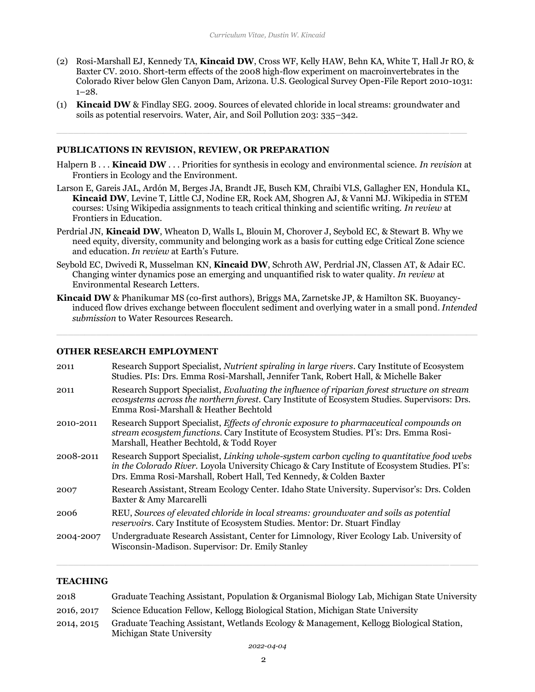- (2) Rosi-Marshall EJ, Kennedy TA, **Kincaid DW**, Cross WF, Kelly HAW, Behn KA, White T, Hall Jr RO, & Baxter CV. 2010. Short-term effects of the 2008 high-flow experiment on macroinvertebrates in the Colorado River below Glen Canyon Dam, Arizona. U.S. Geological Survey Open-File Report 2010-1031: 1–28.
- (1) **Kincaid DW** & Findlay SEG. 2009. Sources of elevated chloride in local streams: groundwater and soils as potential reservoirs. Water, Air, and Soil Pollution 203: 335–342.

#### **PUBLICATIONS IN REVISION, REVIEW, OR PREPARATION**

- Halpern B . . . **Kincaid DW** . . . Priorities for synthesis in ecology and environmental science. *In revision* at Frontiers in Ecology and the Environment.
- Larson E, Gareis JAL, Ardón M, Berges JA, Brandt JE, Busch KM, Chraibi VLS, Gallagher EN, Hondula KL, **Kincaid DW**, Levine T, Little CJ, Nodine ER, Rock AM, Shogren AJ, & Vanni MJ. Wikipedia in STEM courses: Using Wikipedia assignments to teach critical thinking and scientific writing. *In review* at Frontiers in Education.
- Perdrial JN, **Kincaid DW**, Wheaton D, Walls L, Blouin M, Chorover J, Seybold EC, & Stewart B. Why we need equity, diversity, community and belonging work as a basis for cutting edge Critical Zone science and education. *In review* at Earth's Future.
- Seybold EC, Dwivedi R, Musselman KN, **Kincaid DW**, Schroth AW, Perdrial JN, Classen AT, & Adair EC. Changing winter dynamics pose an emerging and unquantified risk to water quality. *In review* at Environmental Research Letters.
- **Kincaid DW** & Phanikumar MS (co-first authors), Briggs MA, Zarnetske JP, & Hamilton SK. Buoyancyinduced flow drives exchange between flocculent sediment and overlying water in a small pond. *Intended submission* to Water Resources Research.

#### **OTHER RESEARCH EMPLOYMENT**

| 2011      | Research Support Specialist, Nutrient spiraling in large rivers. Cary Institute of Ecosystem<br>Studies. PIs: Drs. Emma Rosi-Marshall, Jennifer Tank, Robert Hall, & Michelle Baker                                                                               |
|-----------|-------------------------------------------------------------------------------------------------------------------------------------------------------------------------------------------------------------------------------------------------------------------|
| 2011      | Research Support Specialist, Evaluating the influence of riparian forest structure on stream<br>ecosystems across the northern forest. Cary Institute of Ecosystem Studies. Supervisors: Drs.<br>Emma Rosi-Marshall & Heather Bechtold                            |
| 2010-2011 | Research Support Specialist, <i>Effects of chronic exposure to pharmaceutical compounds on</i><br>stream ecosystem functions. Cary Institute of Ecosystem Studies. PI's: Drs. Emma Rosi-<br>Marshall, Heather Bechtold, & Todd Royer                              |
| 2008-2011 | Research Support Specialist, Linking whole-system carbon cycling to quantitative food webs<br>in the Colorado River. Loyola University Chicago & Cary Institute of Ecosystem Studies. PI's:<br>Drs. Emma Rosi-Marshall, Robert Hall, Ted Kennedy, & Colden Baxter |
| 2007      | Research Assistant, Stream Ecology Center. Idaho State University. Supervisor's: Drs. Colden<br>Baxter & Amy Marcarelli                                                                                                                                           |
| 2006      | REU, Sources of elevated chloride in local streams: groundwater and soils as potential<br>reservoirs. Cary Institute of Ecosystem Studies. Mentor: Dr. Stuart Findlay                                                                                             |
| 2004-2007 | Undergraduate Research Assistant, Center for Limnology, River Ecology Lab. University of<br>Wisconsin-Madison. Supervisor: Dr. Emily Stanley                                                                                                                      |

#### **TEACHING**

| 2018       | Graduate Teaching Assistant, Population & Organismal Biology Lab, Michigan State University                          |
|------------|----------------------------------------------------------------------------------------------------------------------|
| 2016, 2017 | Science Education Fellow, Kellogg Biological Station, Michigan State University                                      |
| 2014, 2015 | Graduate Teaching Assistant, Wetlands Ecology & Management, Kellogg Biological Station,<br>Michigan State University |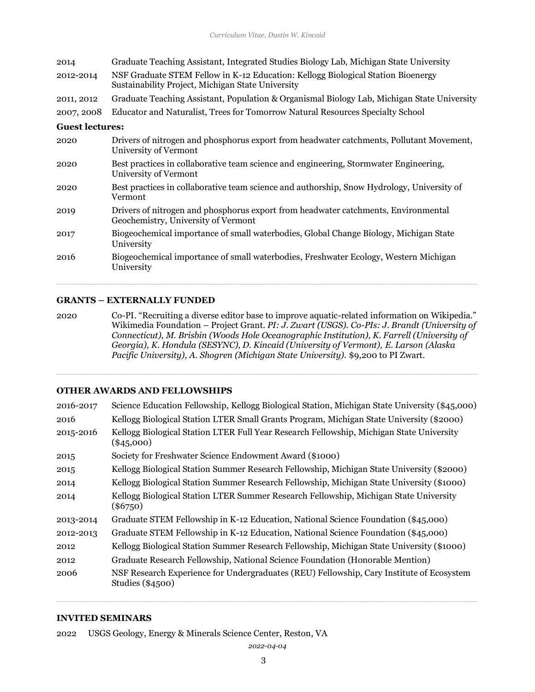| 2014                   | Graduate Teaching Assistant, Integrated Studies Biology Lab, Michigan State University                                                |
|------------------------|---------------------------------------------------------------------------------------------------------------------------------------|
| 2012-2014              | NSF Graduate STEM Fellow in K-12 Education: Kellogg Biological Station Bioenergy<br>Sustainability Project, Michigan State University |
| 2011, 2012             | Graduate Teaching Assistant, Population & Organismal Biology Lab, Michigan State University                                           |
| 2007, 2008             | Educator and Naturalist, Trees for Tomorrow Natural Resources Specialty School                                                        |
| <b>Guest lectures:</b> |                                                                                                                                       |
| 2020                   | Drivers of nitrogen and phosphorus export from headwater catchments, Pollutant Movement,<br>University of Vermont                     |

- 2020 Best practices in collaborative team science and engineering, Stormwater Engineering, University of Vermont
- 2020 Best practices in collaborative team science and authorship, Snow Hydrology, University of Vermont
- 2019 Drivers of nitrogen and phosphorus export from headwater catchments, Environmental Geochemistry, University of Vermont
- 2017 Biogeochemical importance of small waterbodies, Global Change Biology, Michigan State University
- 2016 Biogeochemical importance of small waterbodies, Freshwater Ecology, Western Michigan University

# **GRANTS – EXTERNALLY FUNDED**

2020 Co-PI. "Recruiting a diverse editor base to improve aquatic-related information on Wikipedia." Wikimedia Foundation – Project Grant. *PI: J. Zwart (USGS). Co-PIs: J. Brandt (University of Connecticut), M. Brisbin (Woods Hole Oceanographic Institution), K. Farrell (University of Georgia), K. Hondula (SESYNC), D. Kincaid (University of Vermont), E. Larson (Alaska Pacific University), A. Shogren (Michigan State University).* \$9,200 to PI Zwart.

## **OTHER AWARDS AND FELLOWSHIPS**

| 2016-2017 | Science Education Fellowship, Kellogg Biological Station, Michigan State University (\$45,000)                 |
|-----------|----------------------------------------------------------------------------------------------------------------|
| 2016      | Kellogg Biological Station LTER Small Grants Program, Michigan State University (\$2000)                       |
| 2015-2016 | Kellogg Biological Station LTER Full Year Research Fellowship, Michigan State University<br>$(\$45,000)$       |
| 2015      | Society for Freshwater Science Endowment Award (\$1000)                                                        |
| 2015      | Kellogg Biological Station Summer Research Fellowship, Michigan State University (\$2000)                      |
| 2014      | Kellogg Biological Station Summer Research Fellowship, Michigan State University (\$1000)                      |
| 2014      | Kellogg Biological Station LTER Summer Research Fellowship, Michigan State University<br>$(\$6750)$            |
| 2013-2014 | Graduate STEM Fellowship in K-12 Education, National Science Foundation (\$45,000)                             |
| 2012-2013 | Graduate STEM Fellowship in K-12 Education, National Science Foundation (\$45,000)                             |
| 2012      | Kellogg Biological Station Summer Research Fellowship, Michigan State University (\$1000)                      |
| 2012      | Graduate Research Fellowship, National Science Foundation (Honorable Mention)                                  |
| 2006      | NSF Research Experience for Undergraduates (REU) Fellowship, Cary Institute of Ecosystem<br>Studies $(\$4500)$ |
|           |                                                                                                                |

#### **INVITED SEMINARS**

2022 USGS Geology, Energy & Minerals Science Center, Reston, VA

*2022-04-04*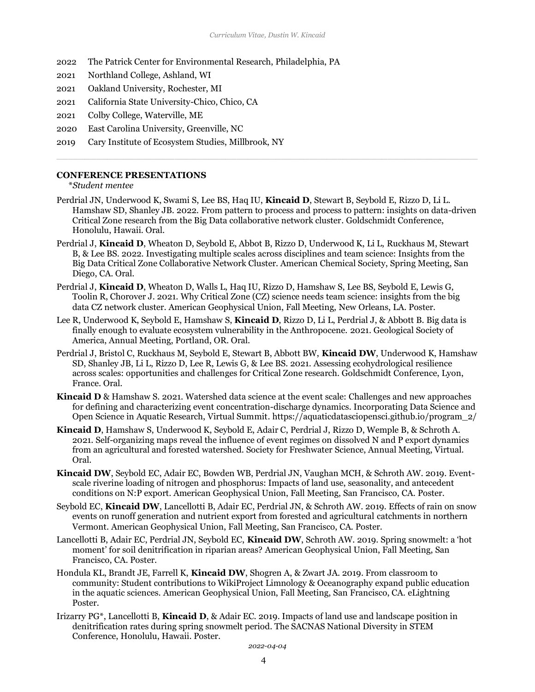- 2022 The Patrick Center for Environmental Research, Philadelphia, PA
- 2021 Northland College, Ashland, WI
- 2021 Oakland University, Rochester, MI
- 2021 California State University-Chico, Chico, CA
- 2021 Colby College, Waterville, ME
- 2020 East Carolina University, Greenville, NC
- 2019 Cary Institute of Ecosystem Studies, Millbrook, NY

#### **CONFERENCE PRESENTATIONS**

\**Student mentee*

- Perdrial JN, Underwood K, Swami S, Lee BS, Haq IU, **Kincaid D**, Stewart B, Seybold E, Rizzo D, Li L. Hamshaw SD, Shanley JB. 2022. From pattern to process and process to pattern: insights on data-driven Critical Zone research from the Big Data collaborative network cluster. Goldschmidt Conference, Honolulu, Hawaii. Oral.
- Perdrial J, **Kincaid D**, Wheaton D, Seybold E, Abbot B, Rizzo D, Underwood K, Li L, Ruckhaus M, Stewart B, & Lee BS. 2022. Investigating multiple scales across disciplines and team science: Insights from the Big Data Critical Zone Collaborative Network Cluster. American Chemical Society, Spring Meeting, San Diego, CA. Oral.
- Perdrial J, **Kincaid D**, Wheaton D, Walls L, Haq IU, Rizzo D, Hamshaw S, Lee BS, Seybold E, Lewis G, Toolin R, Chorover J. 2021. Why Critical Zone (CZ) science needs team science: insights from the big data CZ network cluster. American Geophysical Union, Fall Meeting, New Orleans, LA. Poster.
- Lee R, Underwood K, Seybold E, Hamshaw S, **Kincaid D**, Rizzo D, Li L, Perdrial J, & Abbott B. Big data is finally enough to evaluate ecosystem vulnerability in the Anthropocene. 2021. Geological Society of America, Annual Meeting, Portland, OR. Oral.
- Perdrial J, Bristol C, Ruckhaus M, Seybold E, Stewart B, Abbott BW, **Kincaid DW**, Underwood K, Hamshaw SD, Shanley JB, Li L, Rizzo D, Lee R, Lewis G, & Lee BS. 2021. Assessing ecohydrological resilience across scales: opportunities and challenges for Critical Zone research. Goldschmidt Conference, Lyon, France. Oral.
- **Kincaid D** & Hamshaw S. 2021. Watershed data science at the event scale: Challenges and new approaches for defining and characterizing event concentration-discharge dynamics. Incorporating Data Science and Open Science in Aquatic Research, Virtual Summit. https://aquaticdatasciopensci.github.io/program\_2/
- **Kincaid D**, Hamshaw S, Underwood K, Seybold E, Adair C, Perdrial J, Rizzo D, Wemple B, & Schroth A. 2021. Self-organizing maps reveal the influence of event regimes on dissolved N and P export dynamics from an agricultural and forested watershed. Society for Freshwater Science, Annual Meeting, Virtual. Oral.
- **Kincaid DW**, Seybold EC, Adair EC, Bowden WB, Perdrial JN, Vaughan MCH, & Schroth AW. 2019. Eventscale riverine loading of nitrogen and phosphorus: Impacts of land use, seasonality, and antecedent conditions on N:P export. American Geophysical Union, Fall Meeting, San Francisco, CA. Poster.
- Seybold EC, **Kincaid DW**, Lancellotti B, Adair EC, Perdrial JN, & Schroth AW. 2019. Effects of rain on snow events on runoff generation and nutrient export from forested and agricultural catchments in northern Vermont. American Geophysical Union, Fall Meeting, San Francisco, CA. Poster.
- Lancellotti B, Adair EC, Perdrial JN, Seybold EC, **Kincaid DW**, Schroth AW. 2019. Spring snowmelt: a 'hot moment' for soil denitrification in riparian areas? American Geophysical Union, Fall Meeting, San Francisco, CA. Poster.
- Hondula KL, Brandt JE, Farrell K, **Kincaid DW**, Shogren A, & Zwart JA. 2019. From classroom to community: Student contributions to WikiProject Limnology & Oceanography expand public education in the aquatic sciences. American Geophysical Union, Fall Meeting, San Francisco, CA. eLightning Poster.
- Irizarry PG\*, Lancellotti B, **Kincaid D**, & Adair EC. 2019. Impacts of land use and landscape position in denitrification rates during spring snowmelt period. The SACNAS National Diversity in STEM Conference, Honolulu, Hawaii. Poster.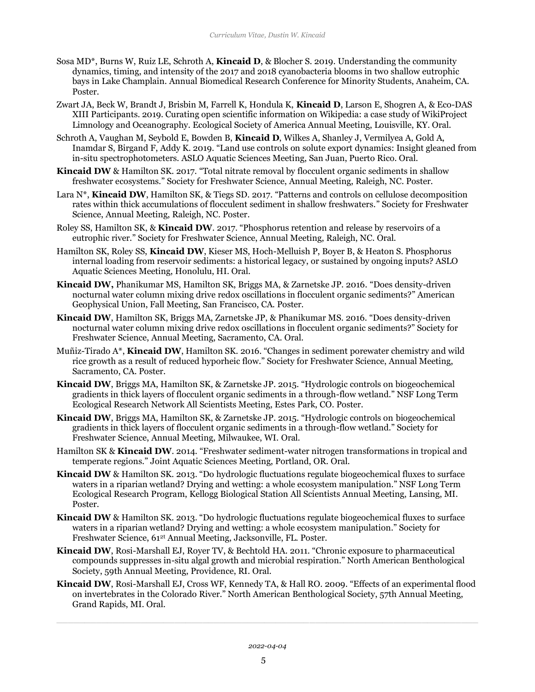- Sosa MD\*, Burns W, Ruiz LE, Schroth A, **Kincaid D**, & Blocher S. 2019. Understanding the community dynamics, timing, and intensity of the 2017 and 2018 cyanobacteria blooms in two shallow eutrophic bays in Lake Champlain. Annual Biomedical Research Conference for Minority Students, Anaheim, CA. Poster.
- Zwart JA, Beck W, Brandt J, Brisbin M, Farrell K, Hondula K, **Kincaid D**, Larson E, Shogren A, & Eco-DAS XIII Participants. 2019. Curating open scientific information on Wikipedia: a case study of WikiProject Limnology and Oceanography. Ecological Society of America Annual Meeting, Louisville, KY. Oral.
- Schroth A, Vaughan M, Seybold E, Bowden B, **Kincaid D**, Wilkes A, Shanley J, Vermilyea A, Gold A, Inamdar S, Birgand F, Addy K. 2019. "Land use controls on solute export dynamics: Insight gleaned from in-situ spectrophotometers. ASLO Aquatic Sciences Meeting, San Juan, Puerto Rico. Oral.
- **Kincaid DW** & Hamilton SK. 2017. "Total nitrate removal by flocculent organic sediments in shallow freshwater ecosystems." Society for Freshwater Science, Annual Meeting, Raleigh, NC. Poster.
- Lara N\*, **Kincaid DW**, Hamilton SK, & Tiegs SD. 2017. "Patterns and controls on cellulose decomposition rates within thick accumulations of flocculent sediment in shallow freshwaters." Society for Freshwater Science, Annual Meeting, Raleigh, NC. Poster.
- Roley SS, Hamilton SK, & **Kincaid DW**. 2017. "Phosphorus retention and release by reservoirs of a eutrophic river." Society for Freshwater Science, Annual Meeting, Raleigh, NC. Oral.
- Hamilton SK, Roley SS, **Kincaid DW**, Kieser MS, Hoch-Melluish P, Boyer B, & Heaton S. Phosphorus internal loading from reservoir sediments: a historical legacy, or sustained by ongoing inputs? ASLO Aquatic Sciences Meeting, Honolulu, HI. Oral.
- **Kincaid DW,** Phanikumar MS, Hamilton SK, Briggs MA, & Zarnetske JP. 2016. "Does density-driven nocturnal water column mixing drive redox oscillations in flocculent organic sediments?" American Geophysical Union, Fall Meeting, San Francisco, CA. Poster.
- **Kincaid DW**, Hamilton SK, Briggs MA, Zarnetske JP, & Phanikumar MS. 2016. "Does density-driven nocturnal water column mixing drive redox oscillations in flocculent organic sediments?" Society for Freshwater Science, Annual Meeting, Sacramento, CA. Oral.
- Muñiz-Tirado A\*, **Kincaid DW**, Hamilton SK. 2016. "Changes in sediment porewater chemistry and wild rice growth as a result of reduced hyporheic flow." Society for Freshwater Science, Annual Meeting, Sacramento, CA. Poster.
- **Kincaid DW**, Briggs MA, Hamilton SK, & Zarnetske JP. 2015. "Hydrologic controls on biogeochemical gradients in thick layers of flocculent organic sediments in a through-flow wetland." NSF Long Term Ecological Research Network All Scientists Meeting, Estes Park, CO. Poster.
- **Kincaid DW**, Briggs MA, Hamilton SK, & Zarnetske JP. 2015. "Hydrologic controls on biogeochemical gradients in thick layers of flocculent organic sediments in a through-flow wetland." Society for Freshwater Science, Annual Meeting, Milwaukee, WI. Oral.
- Hamilton SK & **Kincaid DW**. 2014. "Freshwater sediment-water nitrogen transformations in tropical and temperate regions." Joint Aquatic Sciences Meeting, Portland, OR. Oral.
- **Kincaid DW** & Hamilton SK. 2013. "Do hydrologic fluctuations regulate biogeochemical fluxes to surface waters in a riparian wetland? Drying and wetting: a whole ecosystem manipulation." NSF Long Term Ecological Research Program, Kellogg Biological Station All Scientists Annual Meeting, Lansing, MI. Poster.
- **Kincaid DW** & Hamilton SK. 2013. "Do hydrologic fluctuations regulate biogeochemical fluxes to surface waters in a riparian wetland? Drying and wetting: a whole ecosystem manipulation." Society for Freshwater Science, 612t Annual Meeting, Jacksonville, FL. Poster.
- **Kincaid DW**, Rosi-Marshall EJ, Royer TV, & Bechtold HA. 2011. "Chronic exposure to pharmaceutical compounds suppresses in-situ algal growth and microbial respiration." North American Benthological Society, 59th Annual Meeting, Providence, RI. Oral.
- **Kincaid DW**, Rosi-Marshall EJ, Cross WF, Kennedy TA, & Hall RO. 2009. "Effects of an experimental flood on invertebrates in the Colorado River." North American Benthological Society, 57th Annual Meeting, Grand Rapids, MI. Oral.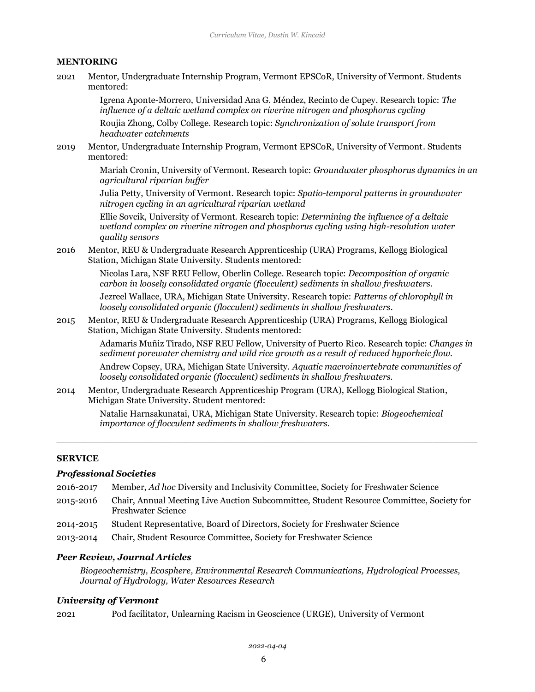#### **MENTORING**

2021 Mentor, Undergraduate Internship Program, Vermont EPSCoR, University of Vermont. Students mentored:

> Igrena Aponte-Morrero, Universidad Ana G. Méndez, Recinto de Cupey. Research topic: *The influence of a deltaic wetland complex on riverine nitrogen and phosphorus cycling*

Roujia Zhong, Colby College. Research topic: *Synchronization of solute transport from headwater catchments* 

2019 Mentor, Undergraduate Internship Program, Vermont EPSCoR, University of Vermont. Students mentored:

> Mariah Cronin, University of Vermont. Research topic: *Groundwater phosphorus dynamics in an agricultural riparian buffer*

Julia Petty, University of Vermont. Research topic: *Spatio-temporal patterns in groundwater nitrogen cycling in an agricultural riparian wetland*

Ellie Sovcik, University of Vermont. Research topic: *Determining the influence of a deltaic wetland complex on riverine nitrogen and phosphorus cycling using high-resolution water quality sensors*

2016 Mentor, REU & Undergraduate Research Apprenticeship (URA) Programs, Kellogg Biological Station, Michigan State University. Students mentored:

> Nicolas Lara, NSF REU Fellow, Oberlin College. Research topic: *Decomposition of organic carbon in loosely consolidated organic (flocculent) sediments in shallow freshwaters.*

> Jezreel Wallace, URA, Michigan State University. Research topic: *Patterns of chlorophyll in loosely consolidated organic (flocculent) sediments in shallow freshwaters.*

2015 Mentor, REU & Undergraduate Research Apprenticeship (URA) Programs, Kellogg Biological Station, Michigan State University. Students mentored:

> Adamaris Muñiz Tirado, NSF REU Fellow, University of Puerto Rico. Research topic: *Changes in sediment porewater chemistry and wild rice growth as a result of reduced hyporheic flow.*

Andrew Copsey, URA, Michigan State University. *Aquatic macroinvertebrate communities of loosely consolidated organic (flocculent) sediments in shallow freshwaters.*

2014 Mentor, Undergraduate Research Apprenticeship Program (URA), Kellogg Biological Station, Michigan State University. Student mentored:

> Natalie Harnsakunatai, URA, Michigan State University. Research topic: *Biogeochemical importance of flocculent sediments in shallow freshwaters.*

#### **SERVICE**

#### *Professional Societies*

- 2016-2017 Member, *Ad hoc* Diversity and Inclusivity Committee, Society for Freshwater Science
- 2015-2016 Chair, Annual Meeting Live Auction Subcommittee, Student Resource Committee, Society for Freshwater Science
- 2014-2015 Student Representative, Board of Directors, Society for Freshwater Science
- 2013-2014 Chair, Student Resource Committee, Society for Freshwater Science

# *Peer Review, Journal Articles*

*Biogeochemistry, Ecosphere, Environmental Research Communications, Hydrological Processes, Journal of Hydrology, Water Resources Research*

# *University of Vermont*

2021 Pod facilitator, Unlearning Racism in Geoscience (URGE), University of Vermont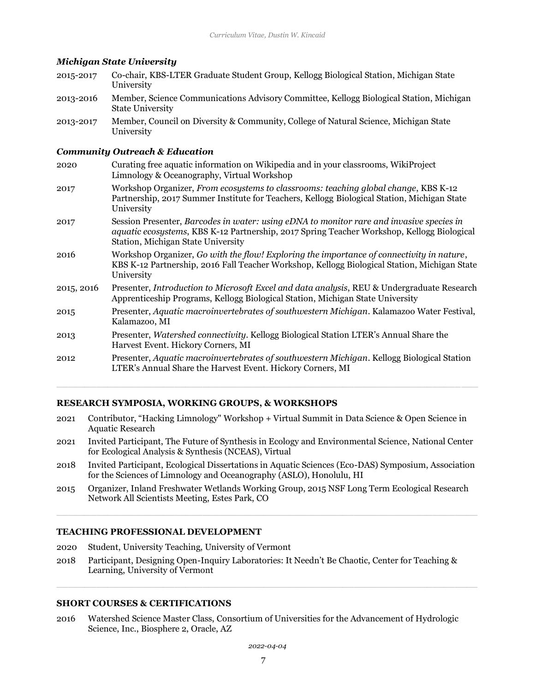#### *Michigan State University*

| 2015-2017  | Co-chair, KBS-LTER Graduate Student Group, Kellogg Biological Station, Michigan State<br>University                                                                                                                          |
|------------|------------------------------------------------------------------------------------------------------------------------------------------------------------------------------------------------------------------------------|
| 2013-2016  | Member, Science Communications Advisory Committee, Kellogg Biological Station, Michigan<br><b>State University</b>                                                                                                           |
| 2013-2017  | Member, Council on Diversity & Community, College of Natural Science, Michigan State<br>University                                                                                                                           |
|            | <b>Community Outreach &amp; Education</b>                                                                                                                                                                                    |
| 2020       | Curating free aquatic information on Wikipedia and in your classrooms, WikiProject<br>Limnology & Oceanography, Virtual Workshop                                                                                             |
| 2017       | Workshop Organizer, From ecosystems to classrooms: teaching global change, KBS K-12<br>Partnership, 2017 Summer Institute for Teachers, Kellogg Biological Station, Michigan State<br>University                             |
| 2017       | Session Presenter, Barcodes in water: using eDNA to monitor rare and invasive species in<br>aquatic ecosystems, KBS K-12 Partnership, 2017 Spring Teacher Workshop, Kellogg Biological<br>Station, Michigan State University |
| 2016       | Workshop Organizer, Go with the flow! Exploring the importance of connectivity in nature,<br>KBS K-12 Partnership, 2016 Fall Teacher Workshop, Kellogg Biological Station, Michigan State<br>University                      |
| 2015, 2016 | Presenter, Introduction to Microsoft Excel and data analysis, REU & Undergraduate Research<br>Apprenticeship Programs, Kellogg Biological Station, Michigan State University                                                 |
| 2015       | Presenter, Aquatic macroinvertebrates of southwestern Michigan. Kalamazoo Water Festival,<br>Kalamazoo, MI                                                                                                                   |
| 2013       | Presenter, Watershed connectivity. Kellogg Biological Station LTER's Annual Share the<br>Harvest Event. Hickory Corners, MI                                                                                                  |
| 2012       | Presenter, Aquatic macroinvertebrates of southwestern Michigan. Kellogg Biological Station<br>LTER's Annual Share the Harvest Event. Hickory Corners, MI                                                                     |
|            |                                                                                                                                                                                                                              |

# **RESEARCH SYMPOSIA, WORKING GROUPS, & WORKSHOPS**

- 2021 Contributor, "Hacking Limnology" Workshop + Virtual Summit in Data Science & Open Science in Aquatic Research
- 2021 Invited Participant, The Future of Synthesis in Ecology and Environmental Science, National Center for Ecological Analysis & Synthesis (NCEAS), Virtual
- 2018 Invited Participant, Ecological Dissertations in Aquatic Sciences (Eco-DAS) Symposium, Association for the Sciences of Limnology and Oceanography (ASLO), Honolulu, HI
- 2015 Organizer, Inland Freshwater Wetlands Working Group, 2015 NSF Long Term Ecological Research Network All Scientists Meeting, Estes Park, CO

#### **TEACHING PROFESSIONAL DEVELOPMENT**

- 2020 Student, University Teaching, University of Vermont
- 2018 Participant, Designing Open-Inquiry Laboratories: It Needn't Be Chaotic, Center for Teaching & Learning, University of Vermont

## **SHORT COURSES & CERTIFICATIONS**

2016 Watershed Science Master Class, Consortium of Universities for the Advancement of Hydrologic Science, Inc., Biosphere 2, Oracle, AZ